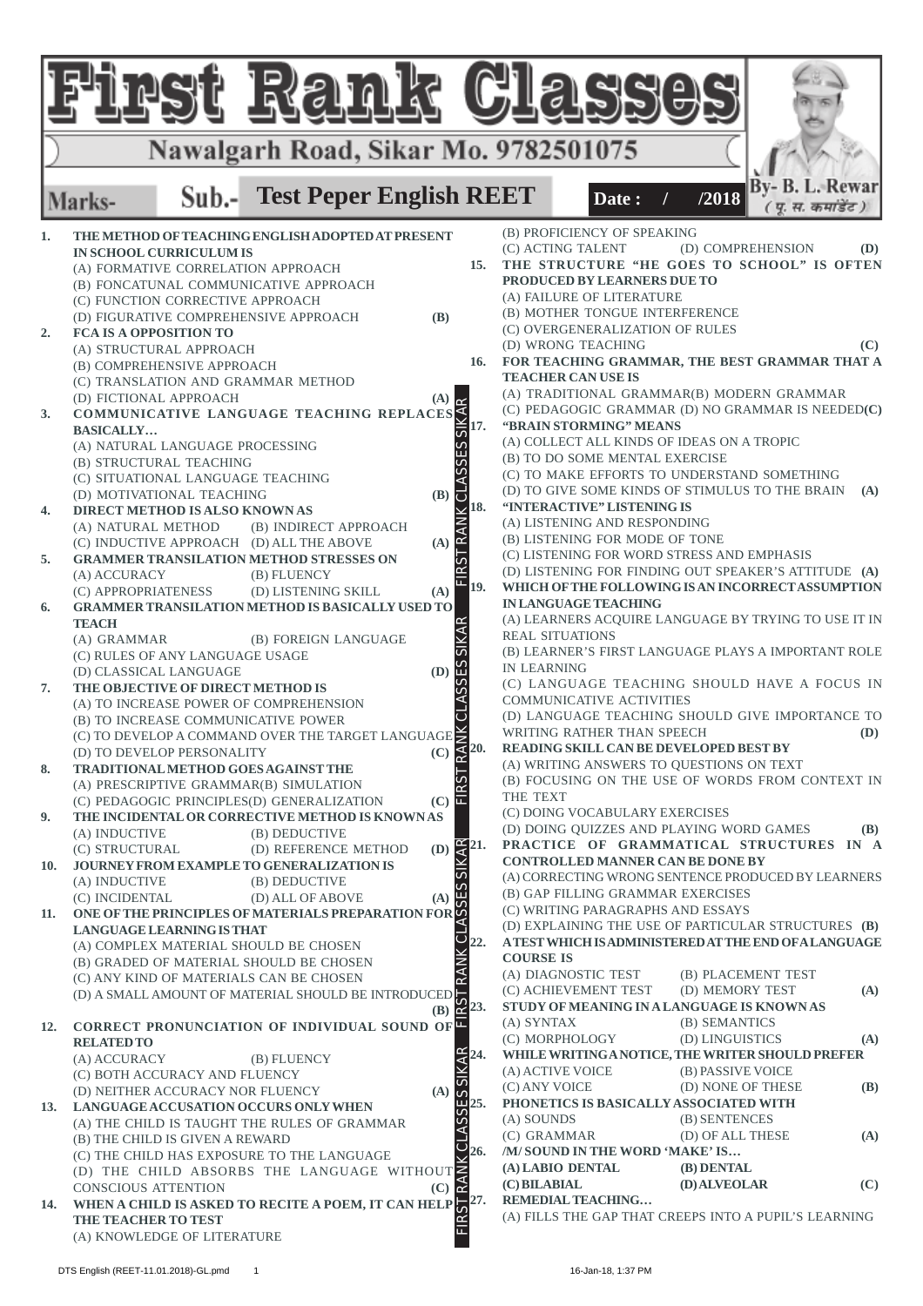|            | Rank                                                                                                                                              |              | $\mathbb{C}$                                   |                             |                                                                                                                                                                                |                                    |                    |            |
|------------|---------------------------------------------------------------------------------------------------------------------------------------------------|--------------|------------------------------------------------|-----------------------------|--------------------------------------------------------------------------------------------------------------------------------------------------------------------------------|------------------------------------|--------------------|------------|
|            | Nawalgarh Road, Sikar Mo. 9782501075                                                                                                              |              |                                                |                             |                                                                                                                                                                                |                                    |                    |            |
|            | Sub.- Test Peper English REET<br>Marks-                                                                                                           |              |                                                |                             | Date:                                                                                                                                                                          | /2018                              | By- B. L. Rewar    |            |
| 1.         | THE METHOD OF TEACHING ENGLISH ADOPTED AT PRESENT                                                                                                 |              |                                                |                             | (B) PROFICIENCY OF SPEAKING<br>(C) ACTING TALENT                                                                                                                               |                                    | (D) COMPREHENSION  | (D)        |
|            | <b>IN SCHOOL CURRICULUM IS</b><br>(A) FORMATIVE CORRELATION APPROACH<br>(B) FONCATUNAL COMMUNICATIVE APPROACH<br>(C) FUNCTION CORRECTIVE APPROACH |              |                                                |                             | 15. THE STRUCTURE "HE GOES TO SCHOOL" IS OFTEN<br>PRODUCED BY LEARNERS DUE TO<br>(A) FAILURE OF LITERATURE<br>(B) MOTHER TONGUE INTERFERENCE                                   |                                    |                    |            |
| 2.         | (D) FIGURATIVE COMPREHENSIVE APPROACH<br><b>FCA IS A OPPOSITION TO</b><br>(A) STRUCTURAL APPROACH                                                 | <b>(B)</b>   |                                                |                             | (C) OVERGENERALIZATION OF RULES<br>(D) WRONG TEACHING                                                                                                                          |                                    |                    | (C)        |
|            | (B) COMPREHENSIVE APPROACH                                                                                                                        |              | 16.                                            |                             | FOR TEACHING GRAMMAR, THE BEST GRAMMAR THAT A<br><b>TEACHER CAN USE IS</b><br>(A) TRADITIONAL GRAMMAR(B) MODERN GRAMMAR                                                        |                                    |                    |            |
| 3.         | (C) TRANSLATION AND GRAMMAR METROLE (A) $\overline{A}$ (A) COMMUNICATIVE LANGUAGE TEACHING REPLACES                                               |              | 17.                                            |                             | (C) PEDAGOGIC GRAMMAR (D) NO GRAMMAR IS NEEDED(C)<br>"BRAIN STORMING" MEANS                                                                                                    |                                    |                    |            |
|            | (A) NATURAL LANGUAGE PROCESSING<br>(B) STRUCTURAL TEACHING<br>(C) SITUATIONAL LANGUAGE TEACHING                                                   |              |                                                |                             | (A) COLLECT ALL KINDS OF IDEAS ON A TROPIC<br>(B) TO DO SOME MENTAL EXERCISE<br>(C) TO MAKE EFFORTS TO UNDERSTAND SOMETHING<br>(D) TO GIVE SOME KINDS OF STIMULUS TO THE BRAIN |                                    |                    | (A)        |
| 4.         | (D) MOTIVATIONAL TEACHING<br>DIRECT METHOD IS ALSO KNOWN AS<br>(A) NATURAL METHOD<br>(B) INDIRECT APPROACH                                        | (B)          | 18.<br>RANI                                    |                             | "INTERACTIVE" LISTENING IS<br>(A) LISTENING AND RESPONDING                                                                                                                     |                                    |                    |            |
| 5.         | (C) INDUCTIVE APPROACH (D) ALL THE ABOVE<br><b>GRAMMER TRANSILATION METHOD STRESSES ON</b><br>(A) ACCURACY                                        | (A)          | .<br>Y                                         |                             | (B) LISTENING FOR MODE OF TONE<br>(C) LISTENING FOR WORD STRESS AND EMPHASIS<br>(D) LISTENING FOR FINDING OUT SPEAKER'S ATTITUDE (A)                                           |                                    |                    |            |
| 6.         | (B) FLUENCY<br>(C) APPROPRIATENESS<br>(D) LISTENING SKILL<br><b>GRAMMER TRANSILATION METHOD IS BASICALLY USED TO</b>                              | (A)          | 19.                                            |                             | WHICH OF THE FOLLOWING IS AN INCORRECT ASSUMPTION<br><b>IN LANGUAGE TEACHING</b>                                                                                               |                                    |                    |            |
|            | <b>TEACH</b><br>(A) GRAMMAR<br>(B) FOREIGN LANGUAGE<br>(C) RULES OF ANY LANGUAGE USAGE                                                            |              |                                                |                             | (A) LEARNERS ACQUIRE LANGUAGE BY TRYING TO USE IT IN<br><b>REAL SITUATIONS</b><br>(B) LEARNER'S FIRST LANGUAGE PLAYS A IMPORTANT ROLE                                          |                                    |                    |            |
| 7.         | (D) CLASSICAL LANGUAGE<br>THE OBJECTIVE OF DIRECT METHOD IS                                                                                       | (D)          | $\frac{1}{2}$                                  | <b>IN LEARNING</b>          | (C) LANGUAGE TEACHING SHOULD HAVE A FOCUS IN                                                                                                                                   |                                    |                    |            |
|            | (A) TO INCREASE POWER OF COMPREHENSION<br>(B) TO INCREASE COMMUNICATIVE POWER<br>(C) TO DEVELOP A COMMAND OVER THE TARGET LANGUAGE $\tilde{\ge}$  |              |                                                |                             | COMMUNICATIVE ACTIVITIES<br>(D) LANGUAGE TEACHING SHOULD GIVE IMPORTANCE TO<br>WRITING RATHER THAN SPEECH                                                                      |                                    |                    | (D)        |
| 8.         | (D) TO DEVELOP PERSONALITY<br>TRADITIONAL METHOD GOES AGAINST THE                                                                                 | (C)          | I∡                                             |                             | READING SKILL CAN BE DEVELOPED BEST BY<br>(A) WRITING ANSWERS TO QUESTIONS ON TEXT                                                                                             |                                    |                    |            |
|            | (A) PRESCRIPTIVE GRAMMAR(B) SIMULATION<br>(C) PEDAGOGIC PRINCIPLES(D) GENERALIZATION                                                              | (C)          | .<br>RS                                        | THE TEXT                    | (B) FOCUSING ON THE USE OF WORDS FROM CONTEXT IN<br>(C) DOING VOCABULARY EXERCISES                                                                                             |                                    |                    |            |
| 9.         | THE INCIDENTAL OR CORRECTIVE METHOD IS KNOWNAS<br>(A) INDUCTIVE<br>(B) DEDUCTIVE<br>(C) STRUCTURAL<br>(D) REFERENCE METHOD                        | (D)          | $\frac{\alpha}{4}$ 21.                         |                             | (D) DOING QUIZZES AND PLAYING WORD GAMES<br>PRACTICE OF GRAMMATICAL STRUCTURES IN A                                                                                            |                                    |                    | (B)        |
| 10.        | <b>JOURNEY FROM EXAMPLE TO GENERALIZATION IS</b><br>(B) DEDUCTIVE<br>(A) INDUCTIVE<br>(C) INCIDENTAL<br>(D) ALL OF ABOVE                          | (A)          | $\overline{\sigma}$                            |                             | <b>CONTROLLED MANNER CAN BE DONE BY</b><br>(A) CORRECTING WRONG SENTENCE PRODUCED BY LEARNERS<br>(B) GAP FILLING GRAMMAR EXERCISES                                             |                                    |                    |            |
| 11.        | ONE OF THE PRINCIPLES OF MATERIALS PREPARATION FOR<br>LANGUAGE LEARNING IS THAT<br>(A) COMPLEX MATERIAL SHOULD BE CHOSEN                          |              | $\circ$<br>22.                                 |                             | (C) WRITING PARAGRAPHS AND ESSAYS<br>(D) EXPLAINING THE USE OF PARTICULAR STRUCTURES (B)<br>A TEST WHICH IS ADMINISTERED AT THE END OF A LANGUAGE                              |                                    |                    |            |
|            | (B) GRADED OF MATERIAL SHOULD BE CHOSEN<br>(C) ANY KIND OF MATERIALS CAN BE CHOSEN<br>(D) A SMALL AMOUNT OF MATERIAL SHOULD BE INTRODUCED         |              |                                                | <b>COURSE IS</b>            | (A) DIAGNOSTIC TEST<br>(C) ACHIEVEMENT TEST                                                                                                                                    | (D) MEMORY TEST                    | (B) PLACEMENT TEST | (A)        |
| <b>12.</b> | CORRECT PRONUNCIATION OF INDIVIDUAL SOUND OF                                                                                                      |              | $\frac{1}{\text{(B)}}\frac{1}{\text{(C)}}$ 23. | (A) SYNTAX                  | STUDY OF MEANING IN A LANGUAGE IS KNOWN AS<br>(C) MORPHOLOGY                                                                                                                   | (B) SEMANTICS<br>(D) LINGUISTICS   |                    | (A)        |
|            | <b>RELATED TO</b><br>(A) ACCURACY<br>(B) FLUENCY<br>(C) BOTH ACCURACY AND FLUENCY                                                                 |              | KAR<br>24.                                     |                             | WHILE WRITING A NOTICE, THE WRITER SHOULD PREFER<br>(A) ACTIVE VOICE                                                                                                           | (B) PASSIVE VOICE                  |                    |            |
| 13.        | (D) NEITHER ACCURACY NOR FLUENCY<br>LANGUAGE ACCUSATION OCCURS ONLY WHEN<br>(A) THE CHILD IS TAUGHT THE RULES OF GRAMMAR                          | (A)          | $\frac{1}{2}$<br>25.                           | (C) ANY VOICE<br>(A) SOUNDS | PHONETICS IS BASICALLY ASSOCIATED WITH                                                                                                                                         | (D) NONE OF THESE<br>(B) SENTENCES |                    | <b>(B)</b> |
|            | (B) THE CHILD IS GIVEN A REWARD<br>(C) THE CHILD HAS EXPOSURE TO THE LANGUAGE                                                                     |              | 26.                                            | (C) GRAMMAR                 | /M/SOUND IN THE WORD 'MAKE' IS                                                                                                                                                 | (D) OF ALL THESE                   |                    | (A)        |
| 14.        | (D) THE CHILD ABSORBS THE LANGUAGE WITHOUT<br><b>CONSCIOUS ATTENTION</b><br>WHEN A CHILD IS ASKED TO RECITE A POEM, IT CAN HELP $\sqrt{27}$ .     | $(C)$ $\geq$ |                                                | (C) BILABIAL                | (A) LABIO DENTAL<br><b>REMEDIAL TEACHING</b>                                                                                                                                   | (B) DENTAL<br>(D) ALVEOLAR         |                    | (C)        |
|            | <b>THE TEACHER TO TEST</b><br>(A) KNOWLEDGE OF LITERATURE                                                                                         |              | 它                                              |                             | (A) FILLS THE GAP THAT CREEPS INTO A PUPIL'S LEARNING                                                                                                                          |                                    |                    |            |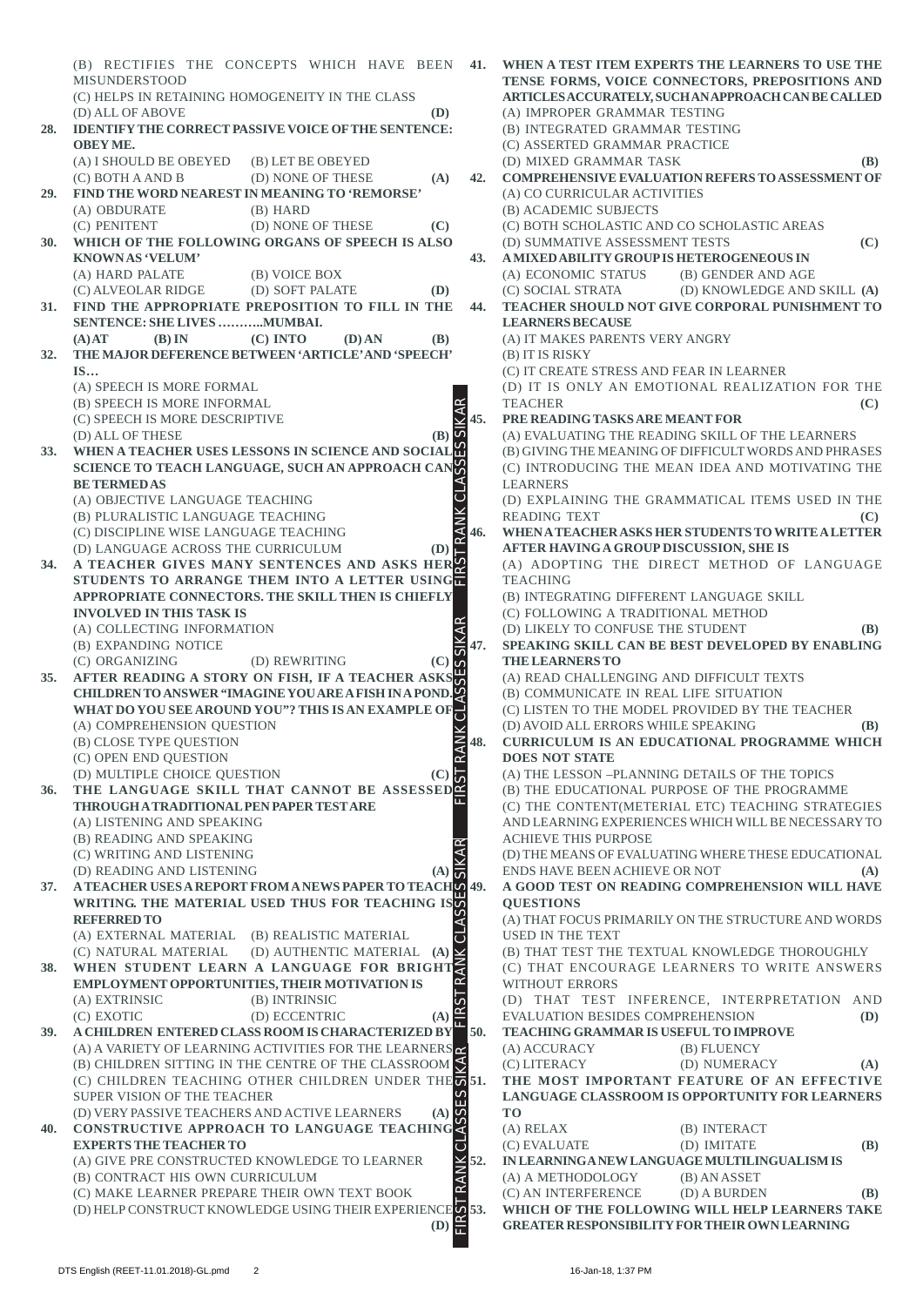(B) RECTIFIES THE CONCEPTS WHICH HAVE BEEN **41. WHEN A TEST ITEM EXPERTS THE LEARNERS TO USE THE TENSE FORMS, VOICE CONNECTORS, PREPOSITIONS AND** MISUNDERSTOOD (C) HELPS IN RETAINING HOMOGENEITY IN THE CLASS **ARTICLES ACCURATELY, SUCH AN APPROACH CAN BE CALLED** (A) IMPROPER GRAMMAR TESTING (D) ALL OF ABOVE **(D) 28. IDENTIFY THE CORRECT PASSIVE VOICE OF THE SENTENCE:** (B) INTEGRATED GRAMMAR TESTING **OBEY ME.** (C) ASSERTED GRAMMAR PRACTICE (A) I SHOULD BE OBEYED (B) LET BE OBEYED (D) MIXED GRAMMAR TASK **(B)** (C) BOTH A AND B (D) NONE OF THESE **(A) 42. COMPREHENSIVE EVALUATION REFERS TO ASSESSMENT OF 29. FIND THE WORD NEAREST IN MEANING TO 'REMORSE'** (A) CO CURRICULAR ACTIVITIES (A) OBDURATE (B) HARD (B) ACADEMIC SUBJECTS (C) PENITENT (D) NONE OF THESE **(C)** (C) BOTH SCHOLASTIC AND CO SCHOLASTIC AREAS **30. WHICH OF THE FOLLOWING ORGANS OF SPEECH IS ALSO** (D) SUMMATIVE ASSESSMENT TESTS **(C) KNOWN AS 'VELUM' 43. A MIXED ABILITY GROUP IS HETEROGENEOUS IN** (A) HARD PALATE (B) VOICE BOX (A) ECONOMIC STATUS (B) GENDER AND AGE (C) ALVEOLAR RIDGE (D) SOFT PALATE **(D)** (C) SOCIAL STRATA (D) KNOWLEDGE AND SKILL **(A) 31. FIND THE APPROPRIATE PREPOSITION TO FILL IN THE 44. TEACHER SHOULD NOT GIVE CORPORAL PUNISHMENT TO SENTENCE: SHE LIVES ………..MUMBAI. LEARNERS BECAUSE (A) AT (B) IN (C) INTO (D) AN (B)** (A) IT MAKES PARENTS VERY ANGRY **32. THE MAJOR DEFERENCE BETWEEN 'ARTICLE' AND 'SPEECH'** (B) IT IS RISKY (C) IT CREATE STRESS AND FEAR IN LEARNER **IS…** (A) SPEECH IS MORE FORMAL (D) IT IS ONLY AN EMOTIONAL REALIZATION FOR THE (B) SPEECH IS MORE INFORMAL TEACHER **(C)** FIRST RANK CLASSES SIKAR FIRST RANK CLASSES SIKAR FIRST RANK CLASSES SIKAR FIRST RANK CLASSES SIKAR **45. PRE READING TASKS ARE MEANT FOR** (C) SPEECH IS MORE DESCRIPTIVE (A) EVALUATING THE READING SKILL OF THE LEARNERS (D) ALL OF THESE **(B)** (B) GIVING THE MEANING OF DIFFICULT WORDS AND PHRASES **33. WHEN A TEACHER USES LESSONS IN SCIENCE AND SOCIAL** (C) INTRODUCING THE MEAN IDEA AND MOTIVATING THE **SCIENCE TO TEACH LANGUAGE, SUCH AN APPROACH CAN** LEARNERS **BE TERMED AS RANK CL** (A) OBJECTIVE LANGUAGE TEACHING (D) EXPLAINING THE GRAMMATICAL ITEMS USED IN THE (B) PLURALISTIC LANGUAGE TEACHING READING TEXT **(C)** (C) DISCIPLINE WISE LANGUAGE TEACHING **46. WHEN A TEACHER ASKS HER STUDENTS TO WRITE A LETTER** (D) LANGUAGE ACROSS THE CURRICULUM **(D) AFTER HAVING A GROUP DISCUSSION, SHE IS 34. A TEACHER GIVES MANY SENTENCES AND ASKS HER** (A) ADOPTING THE DIRECT METHOD OF LANGUAGE **STUDENTS TO ARRANGE THEM INTO A LETTER USING TEACHING APPROPRIATE CONNECTORS. THE SKILL THEN IS CHIEFLY** (B) INTEGRATING DIFFERENT LANGUAGE SKILL **INVOLVED IN THIS TASK IS** (C) FOLLOWING A TRADITIONAL METHOD (D) LIKELY TO CONFUSE THE STUDENT **(B)** (A) COLLECTING INFORMATION **47. SPEAKING SKILL CAN BE BEST DEVELOPED BY ENABLING** (B) EXPANDING NOTICE **THE LEARNERS TO** (C) ORGANIZING (D) REWRITING **(C)** (A) READ CHALLENGING AND DIFFICULT TEXTS **35. AFTER READING A STORY ON FISH, IF A TEACHER ASKS** (B) COMMUNICATE IN REAL LIFE SITUATION **CHILDREN TO ANSWER "IMAGINE YOU ARE A FISH IN A POND. WHAT DO YOU SEE AROUND YOU"? THIS IS AN EXAMPLE OF** (C) LISTEN TO THE MODEL PROVIDED BY THE TEACHER (D) AVOID ALL ERRORS WHILE SPEAKING **(B)** (A) COMPREHENSION QUESTION (B) CLOSE TYPE QUESTION **48. CURRICULUM IS AN EDUCATIONAL PROGRAMME WHICH** (C) OPEN END QUESTION **DOES NOT STATE** (A) THE LESSON –PLANNING DETAILS OF THE TOPICS (D) MULTIPLE CHOICE QUESTION **(C)** (B) THE EDUCATIONAL PURPOSE OF THE PROGRAMME **36. THE LANGUAGE SKILL THAT CANNOT BE ASSESSED THROUGH A TRADITIONAL PEN PAPER TEST ARE** (C) THE CONTENT(METERIAL ETC) TEACHING STRATEGIES (A) LISTENING AND SPEAKING AND LEARNING EXPERIENCES WHICH WILL BE NECESSARY TO ACHIEVE THIS PURPOSE (B) READING AND SPEAKING (C) WRITING AND LISTENING (D) THE MEANS OF EVALUATING WHERE THESE EDUCATIONAL (D) READING AND LISTENING **(A)** ENDS HAVE BEEN ACHIEVE OR NOT **(A)**  $\overline{a}$ **37. A TEACHER USES A REPORT FROM A NEWS PAPER TO TEACH 49. A GOOD TEST ON READING COMPREHENSION WILL HAVE WRITING. THE MATERIAL USED THUS FOR TEACHING IS QUESTIONS REFERRED TO** (A) THAT FOCUS PRIMARILY ON THE STRUCTURE AND WORDS (A) EXTERNAL MATERIAL (B) REALISTIC MATERIAL USED IN THE TEXT (B) THAT TEST THE TEXTUAL KNOWLEDGE THOROUGHLY (C) NATURAL MATERIAL (D) AUTHENTIC MATERIAL **(A)** (C) THAT ENCOURAGE LEARNERS TO WRITE ANSWERS **38. WHEN STUDENT LEARN A LANGUAGE FOR BRIGHT EMPLOYMENT OPPORTUNITIES, THEIR MOTIVATION IS** WITHOUT ERRORS (A) EXTRINSIC (B) INTRINSIC (D) THAT TEST INFERENCE, INTERPRETATION AND  $\alpha$ EVALUATION BESIDES COMPREHENSION **(D)** (C) EXOTIC (D) ECCENTRIC **(A) 39. A CHILDREN ENTERED CLASS ROOM IS CHARACTERIZED BY 50. TEACHING GRAMMAR IS USEFUL TO IMPROVE** (A) A VARIETY OF LEARNING ACTIVITIES FOR THE LEARNERS (A) ACCURACY (B) FLUENCY (C) LITERACY (D) NUMERACY **(A)** (B) CHILDREN SITTING IN THE CENTRE OF THE CLASSROOM **51. THE MOST IMPORTANT FEATURE OF AN EFFECTIVE** (C) CHILDREN TEACHING OTHER CHILDREN UNDER THE **LANGUAGE CLASSROOM IS OPPORTUNITY FOR LEARNERS** SUPER VISION OF THE TEACHER (D) VERY PASSIVE TEACHERS AND ACTIVE LEARNERS **(A) TO 40. CONSTRUCTIVE APPROACH TO LANGUAGE TEACHING** (A) RELAX (B) INTERACT **EXPERTS THE TEACHER TO** (C) EVALUATE (D) IMITATE **(B)**  $\overline{C}$ (A) GIVE PRE CONSTRUCTED KNOWLEDGE TO LEARNER **52. IN LEARNING A NEW LANGUAGE MULTILINGUALISM IS** (B) CONTRACT HIS OWN CURRICULUM (A) A METHODOLOGY (B) AN ASSET (C) MAKE LEARNER PREPARE THEIR OWN TEXT BOOK (C) AN INTERFERENCE (D) A BURDEN **(B)** (D) HELP CONSTRUCT KNOWLEDGE USING THEIR EXPERIENCE **53. WHICH OF THE FOLLOWING WILL HELP LEARNERS TAKE GREATER RESPONSIBILITY FOR THEIR OWN LEARNING (D)**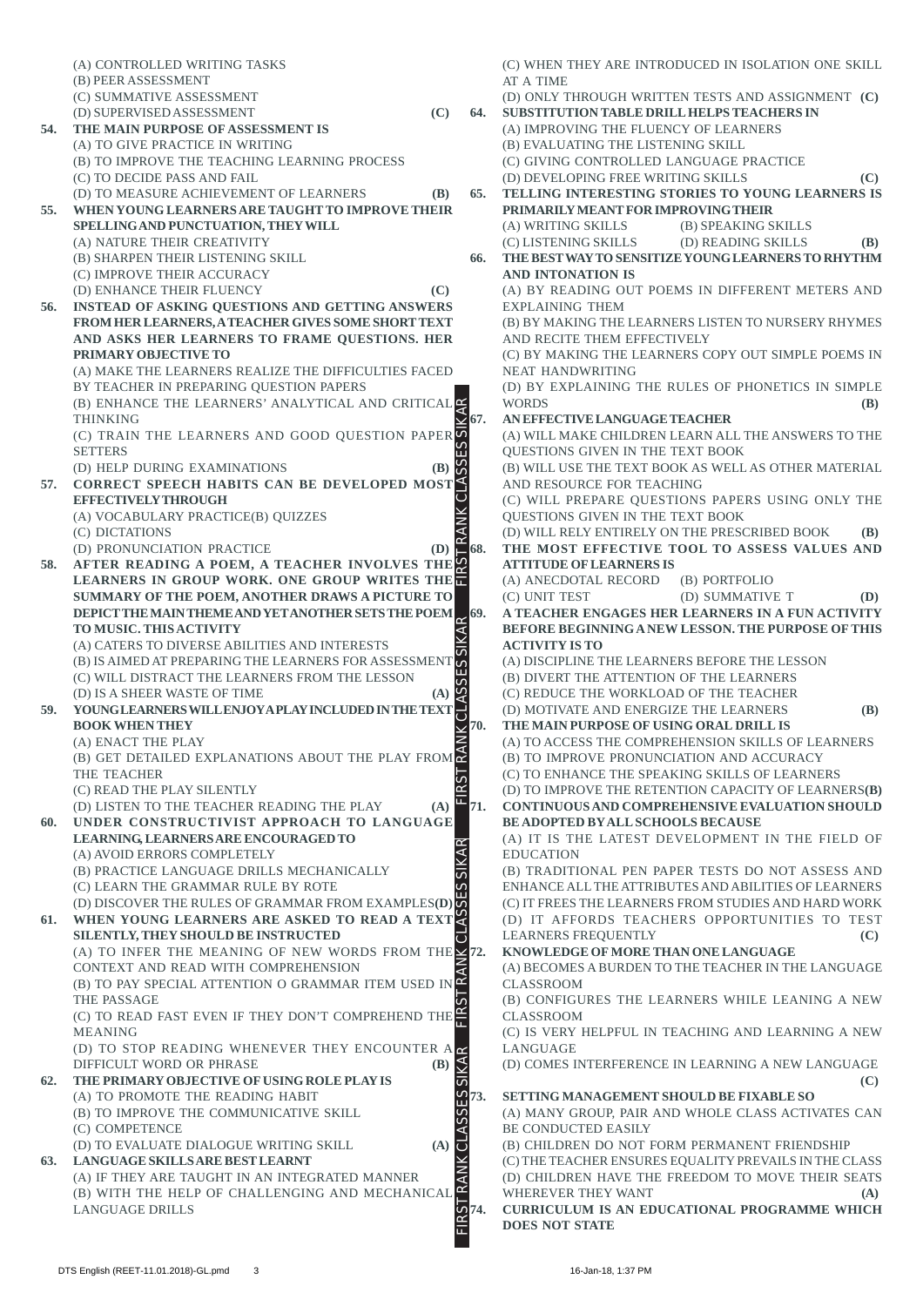(A) CONTROLLED WRITING TASKS (C) WHEN THEY ARE INTRODUCED IN ISOLATION ONE SKILL (B) PEER ASSESSMENT AT A TIME (C) SUMMATIVE ASSESSMENT (D) ONLY THROUGH WRITTEN TESTS AND ASSIGNMENT **(C)** (D) SUPERVISED ASSESSMENT **(C) 64. SUBSTITUTION TABLE DRILL HELPS TEACHERS IN 54. THE MAIN PURPOSE OF ASSESSMENT IS** (A) IMPROVING THE FLUENCY OF LEARNERS (A) TO GIVE PRACTICE IN WRITING (B) EVALUATING THE LISTENING SKILL (B) TO IMPROVE THE TEACHING LEARNING PROCESS (C) GIVING CONTROLLED LANGUAGE PRACTICE (C) TO DECIDE PASS AND FAIL (D) DEVELOPING FREE WRITING SKILLS **(C)** (D) TO MEASURE ACHIEVEMENT OF LEARNERS **(B) 65. TELLING INTERESTING STORIES TO YOUNG LEARNERS IS 55. WHEN YOUNG LEARNERS ARE TAUGHT TO IMPROVE THEIR PRIMARILY MEANT FOR IMPROVING THEIR SPELLING AND PUNCTUATION, THEY WILL** (A) WRITING SKILLS (B) SPEAKING SKILLS (A) NATURE THEIR CREATIVITY (C) LISTENING SKILLS (D) READING SKILLS **(B)** (B) SHARPEN THEIR LISTENING SKILL **66. THE BEST WAY TO SENSITIZE YOUNG LEARNERS TO RHYTHM** (C) IMPROVE THEIR ACCURACY **AND INTONATION IS** (D) ENHANCE THEIR FLUENCY **(C)** (A) BY READING OUT POEMS IN DIFFERENT METERS AND **56. INSTEAD OF ASKING QUESTIONS AND GETTING ANSWERS** EXPLAINING THEM **FROM HER LEARNERS, A TEACHER GIVES SOME SHORT TEXT** (B) BY MAKING THE LEARNERS LISTEN TO NURSERY RHYMES **AND ASKS HER LEARNERS TO FRAME QUESTIONS. HER** AND RECITE THEM EFFECTIVELY **PRIMARY OBJECTIVE TO** (C) BY MAKING THE LEARNERS COPY OUT SIMPLE POEMS IN (A) MAKE THE LEARNERS REALIZE THE DIFFICULTIES FACED NEAT HANDWRITING BY TEACHER IN PREPARING QUESTION PAPERS (D) BY EXPLAINING THE RULES OF PHONETICS IN SIMPLE (B) ENHANCE THE LEARNERS' ANALYTICAL AND CRITICAL WORDS **(B)** FIRST RANK CLASSES SIKAR FIRST RANK CLASSES SIKAR FIRST RANK CLASSES SIKAR FIRST RANK CLASSES SIKAR **67. AN EFFECTIVE LANGUAGE TEACHER** THINKING (C) TRAIN THE LEARNERS AND GOOD QUESTION PAPER (A) WILL MAKE CHILDREN LEARN ALL THE ANSWERS TO THE **SETTERS** QUESTIONS GIVEN IN THE TEXT BOOK (D) HELP DURING EXAMINATIONS **(B)** (B) WILL USE THE TEXT BOOK AS WELL AS OTHER MATERIAL **57. CORRECT SPEECH HABITS CAN BE DEVELOPED MOST** AND RESOURCE FOR TEACHING **EFFECTIVELY THROUGH** (C) WILL PREPARE QUESTIONS PAPERS USING ONLY THE QUESTIONS GIVEN IN THE TEXT BOOK (A) VOCABULARY PRACTICE(B) QUIZZES (C) DICTATIONS (D) WILL RELY ENTIRELY ON THE PRESCRIBED BOOK **(B) 68. THE MOST EFFECTIVE TOOL TO ASSESS VALUES AND** (D) PRONUNCIATION PRACTICE **(D) 58. AFTER READING A POEM, A TEACHER INVOLVES THE ATTITUDE OF LEARNERS IS LEARNERS IN GROUP WORK. ONE GROUP WRITES THE** (A) ANECDOTAL RECORD (B) PORTFOLIO **SUMMARY OF THE POEM, ANOTHER DRAWS A PICTURE TO** (C) UNIT TEST (D) SUMMATIVE T **(D) DEPICT THE MAIN THEME AND YET ANOTHER SETS THE POEM 69. A TEACHER ENGAGES HER LEARNERS IN A FUN ACTIVITY BEFORE BEGINNING A NEW LESSON. THE PURPOSE OF THIS TO MUSIC. THIS ACTIVITY** (A) CATERS TO DIVERSE ABILITIES AND INTERESTS **ACTIVITY IS TO** (B) IS AIMED AT PREPARING THE LEARNERS FOR ASSESSMENT  $\phi$ (A) DISCIPLINE THE LEARNERS BEFORE THE LESSON (B) DIVERT THE ATTENTION OF THE LEARNERS (C) WILL DISTRACT THE LEARNERS FROM THE LESSON (C) REDUCE THE WORKLOAD OF THE TEACHER (D) IS A SHEER WASTE OF TIME **(A) 59. YOUNG LEARNERS WILL ENJOY A PLAY INCLUDED IN THE TEXT** 금 (D) MOTIVATE AND ENERGIZE THE LEARNERS **(B) 70. THE MAIN PURPOSE OF USING ORAL DRILL IS BOOK WHEN THEY** (A) ENACT THE PLAY (A) TO ACCESS THE COMPREHENSION SKILLS OF LEARNERS (B) GET DETAILED EXPLANATIONS ABOUT THE PLAY FROM (B) TO IMPROVE PRONUNCIATION AND ACCURACY THE TEACHER (C) TO ENHANCE THE SPEAKING SKILLS OF LEARNERS (D) TO IMPROVE THE RETENTION CAPACITY OF LEARNERS**(B)** (C) READ THE PLAY SILENTLY (D) LISTEN TO THE TEACHER READING THE PLAY **(A) 71. CONTINUOUS AND COMPREHENSIVE EVALUATION SHOULD 60. UNDER CONSTRUCTIVIST APPROACH TO LANGUAGE BE ADOPTED BY ALL SCHOOLS BECAUSE LEARNING, LEARNERS ARE ENCOURAGED TO** (A) IT IS THE LATEST DEVELOPMENT IN THE FIELD OF (A) AVOID ERRORS COMPLETELY EDUCATION (B) PRACTICE LANGUAGE DRILLS MECHANICALLY (B) TRADITIONAL PEN PAPER TESTS DO NOT ASSESS AND  $\overline{1}$ (C) LEARN THE GRAMMAR RULE BY ROTE ENHANCE ALL THE ATTRIBUTES AND ABILITIES OF LEARNERS (D) DISCOVER THE RULES OF GRAMMAR FROM EXAMPLES**(D)** (C) IT FREES THE LEARNERS FROM STUDIES AND HARD WORK **61. WHEN YOUNG LEARNERS ARE ASKED TO READ A TEXT** (D) IT AFFORDS TEACHERS OPPORTUNITIES TO TEST **SILENTLY, THEY SHOULD BE INSTRUCTED** LEARNERS FREQUENTLY **(C)** (A) TO INFER THE MEANING OF NEW WORDS FROM THE  $\angle$ 72. **72. KNOWLEDGE OF MORE THAN ONE LANGUAGE** CONTEXT AND READ WITH COMPREHENSION (A) BECOMES A BURDEN TO THE TEACHER IN THE LANGUAGE (B) TO PAY SPECIAL ATTENTION O GRAMMAR ITEM USED IN CLASSROOM THE PASSAGE (B) CONFIGURES THE LEARNERS WHILE LEANING A NEW (C) TO READ FAST EVEN IF THEY DON'T COMPREHEND THE CLASSROOM (C) IS VERY HELPFUL IN TEACHING AND LEARNING A NEW MEANING LANGUAGE (D) TO STOP READING WHENEVER THEY ENCOUNTER A (D) COMES INTERFERENCE IN LEARNING A NEW LANGUAGE DIFFICULT WORD OR PHRASE **(B) 62. THE PRIMARY OBJECTIVE OF USING ROLE PLAY IS (C)**  $\overline{U}$ (A) TO PROMOTE THE READING HABIT  $\frac{1}{2}$ **73. SETTING MANAGEMENT SHOULD BE FIXABLE SO** (B) TO IMPROVE THE COMMUNICATIVE SKILL (A) MANY GROUP, PAIR AND WHOLE CLASS ACTIVATES CAN (C) COMPETENCE BE CONDUCTED EASILY (D) TO EVALUATE DIALOGUE WRITING SKILL **(A)** (B) CHILDREN DO NOT FORM PERMANENT FRIENDSHIP  $\overline{\mathbf{C}}$ **63. LANGUAGE SKILLS ARE BEST LEARNT** (C) THE TEACHER ENSURES EQUALITY PREVAILS IN THE CLASS (A) IF THEY ARE TAUGHT IN AN INTEGRATED MANNER (D) CHILDREN HAVE THE FREEDOM TO MOVE THEIR SEATS (B) WITH THE HELP OF CHALLENGING AND MECHANICAL WHEREVER THEY WANT (A) LANGUAGE DRILLS ςS **74. CURRICULUM IS AN EDUCATIONAL PROGRAMME WHICH DOES NOT STATE**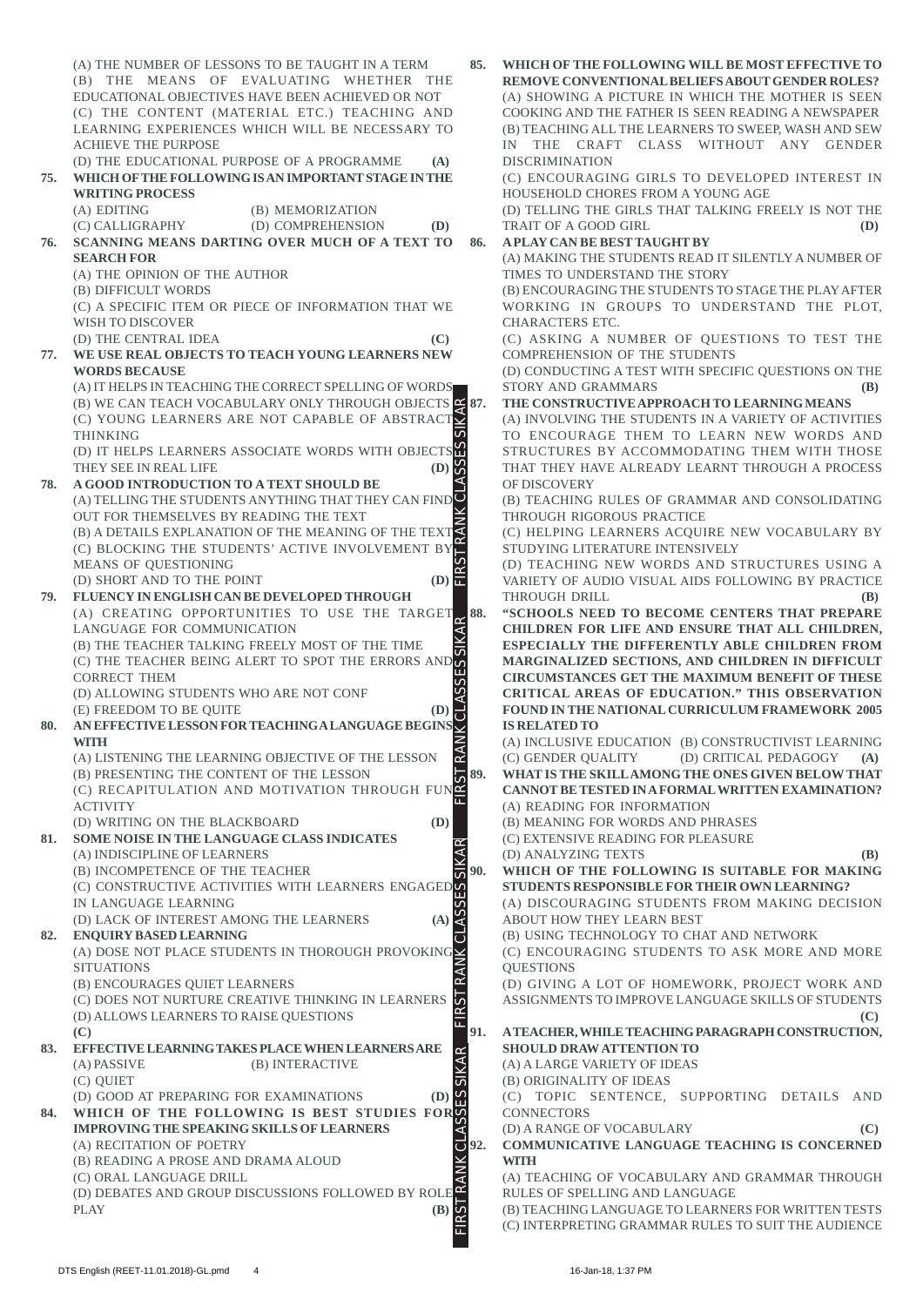(A) THE NUMBER OF LESSONS TO BE TAUGHT IN A TERM **85. WHICH OF THE FOLLOWING WILL BE MOST EFFECTIVE TO** (B) THE MEANS OF EVALUATING WHETHER THE **REMOVE CONVENTIONAL BELIEFS ABOUT GENDER ROLES?** EDUCATIONAL OBJECTIVES HAVE BEEN ACHIEVED OR NOT (A) SHOWING A PICTURE IN WHICH THE MOTHER IS SEEN (C) THE CONTENT (MATERIAL ETC.) TEACHING AND COOKING AND THE FATHER IS SEEN READING A NEWSPAPER LEARNING EXPERIENCES WHICH WILL BE NECESSARY TO (B) TEACHING ALL THE LEARNERS TO SWEEP, WASH AND SEW IN THE CRAFT CLASS WITHOUT ANY GENDER ACHIEVE THE PURPOSE (D) THE EDUCATIONAL PURPOSE OF A PROGRAMME **(A)** DISCRIMINATION **75. WHICH OF THE FOLLOWING IS AN IMPORTANT STAGE IN THE** (C) ENCOURAGING GIRLS TO DEVELOPED INTEREST IN HOUSEHOLD CHORES FROM A YOUNG AGE **WRITING PROCESS** (A) EDITING (B) MEMORIZATION (D) TELLING THE GIRLS THAT TALKING FREELY IS NOT THE (C) CALLIGRAPHY (D) COMPREHENSION **(D)** TRAIT OF A GOOD GIRL **(D) 76. SCANNING MEANS DARTING OVER MUCH OF A TEXT TO 86. A PLAY CAN BE BEST TAUGHT BY** (A) MAKING THE STUDENTS READ IT SILENTLY A NUMBER OF **SEARCH FOR** (A) THE OPINION OF THE AUTHOR TIMES TO UNDERSTAND THE STORY (B) DIFFICULT WORDS (B) ENCOURAGING THE STUDENTS TO STAGE THE PLAY AFTER (C) A SPECIFIC ITEM OR PIECE OF INFORMATION THAT WE WORKING IN GROUPS TO UNDERSTAND THE PLOT, WISH TO DISCOVER CHARACTERS ETC. (D) THE CENTRAL IDEA **(C)** (C) ASKING A NUMBER OF QUESTIONS TO TEST THE **77. WE USE REAL OBJECTS TO TEACH YOUNG LEARNERS NEW** COMPREHENSION OF THE STUDENTS (D) CONDUCTING A TEST WITH SPECIFIC QUESTIONS ON THE **WORDS BECAUSE** (A) IT HELPS IN TEACHING THE CORRECT SPELLING OF WORDS STORY AND GRAMMARS **(B)** (B) WE CAN TEACH VOCABULARY ONLY THROUGH OBJECTS **87. THE CONSTRUCTIVE APPROACH TO LEARNING MEANS** FIRST RANK CLASSES SIKAR FIRST RANK CLASSES SIKAR FIRST RANK CLASSES SIKAR FIRST RANK CLASSES SIKAR (A) INVOLVING THE STUDENTS IN A VARIETY OF ACTIVITIES (C) YOUNG LEARNERS ARE NOT CAPABLE OF ABSTRACT TO ENCOURAGE THEM TO LEARN NEW WORDS AND THINKING STRUCTURES BY ACCOMMODATING THEM WITH THOSE (D) IT HELPS LEARNERS ASSOCIATE WORDS WITH OBJECTS THAT THEY HAVE ALREADY LEARNT THROUGH A PROCESS THEY SEE IN REAL LIFE **(D) 78. A GOOD INTRODUCTION TO A TEXT SHOULD BE** OF DISCOVERY (A) TELLING THE STUDENTS ANYTHING THAT THEY CAN FIND (B) TEACHING RULES OF GRAMMAR AND CONSOLIDATING OUT FOR THEMSELVES BY READING THE TEXT THROUGH RIGOROUS PRACTICE (B) A DETAILS EXPLANATION OF THE MEANING OF THE TEXT (C) HELPING LEARNERS ACQUIRE NEW VOCABULARY BY (C) BLOCKING THE STUDENTS' ACTIVE INVOLVEMENT BY STUDYING LITERATURE INTENSIVELY (D) TEACHING NEW WORDS AND STRUCTURES USING A MEANS OF QUESTIONING VARIETY OF AUDIO VISUAL AIDS FOLLOWING BY PRACTICE (D) SHORT AND TO THE POINT  $($ D)  $\blacksquare$ **79. FLUENCY IN ENGLISH CAN BE DEVELOPED THROUGH** THROUGH DRILL **(B)** (B) (A) CREATING OPPORTUNITIES TO USE THE TARGET **88. "SCHOOLS NEED TO BECOME CENTERS THAT PREPARE CHILDREN FOR LIFE AND ENSURE THAT ALL CHILDREN,** LANGUAGE FOR COMMUNICATION (B) THE TEACHER TALKING FREELY MOST OF THE TIME **ESPECIALLY THE DIFFERENTLY ABLE CHILDREN FROM** (B) THE TEACHER TALKING FREELY MOST OF THE TIME<br>(C) THE TEACHER BEING ALERT TO SPOT THE ERRORS AND **MARGINALIZED SECTIONS, AND CHILDREN IN DIFFICULT CIRCUMSTANCES GET THE MAXIMUM BENEFIT OF THESE** CORRECT THEM (D) ALLOWING STUDENTS WHO ARE NOT CONF **CRITICAL AREAS OF EDUCATION." THIS OBSERVATION 80. AN EFFECTIVE LESSON FOR TEACHING A LANGUAGE BEGINS** (E) FREEDOM TO BE QUITE **(D) FOUND IN THE NATIONAL CURRICULUM FRAMEWORK 2005 IS RELATED TO** (A) INCLUSIVE EDUCATION (B) CONSTRUCTIVIST LEARNING **WITH** RA (A) LISTENING THE LEARNING OBJECTIVE OF THE LESSON (C) GENDER QUALITY (D) CRITICAL PEDAGOGY **(A) 89. WHAT IS THE SKILL AMONG THE ONES GIVEN BELOW THAT** (B) PRESENTING THE CONTENT OF THE LESSON **CANNOT BE TESTED IN A FORMAL WRITTEN EXAMINATION?** (C) RECAPITULATION AND MOTIVATION THROUGH FUN ACTIVITY (A) READING FOR INFORMATION (D) WRITING ON THE BLACKBOARD **(D)** (B) MEANING FOR WORDS AND PHRASES **81. SOME NOISE IN THE LANGUAGE CLASS INDICATES** (C) EXTENSIVE READING FOR PLEASURE (A) INDISCIPLINE OF LEARNERS (D) ANALYZING TEXTS **(B)** (B) INCOMPETENCE OF THE TEACHER **90. WHICH OF THE FOLLOWING IS SUITABLE FOR MAKING** (C) CONSTRUCTIVE ACTIVITIES WITH LEARNERS ENGAGED **STUDENTS RESPONSIBLE FOR THEIR OWN LEARNING?** (A) DISCOURAGING STUDENTS FROM MAKING DECISION IN LANGUAGE LEARNING ŭ (D) LACK OF INTEREST AMONG THE LEARNERS **(A)** ABOUT HOW THEY LEARN BEST **82. ENQUIRY BASED LEARNING** (B) USING TECHNOLOGY TO CHAT AND NETWORK ہے (A) DOSE NOT PLACE STUDENTS IN THOROUGH PROVOKING  $\angle$ (C) ENCOURAGING STUDENTS TO ASK MORE AND MORE **SITUATIONS OUESTIONS** RAP (B) ENCOURAGES QUIET LEARNERS (D) GIVING A LOT OF HOMEWORK, PROJECT WORK AND **RST** (C) DOES NOT NURTURE CREATIVE THINKING IN LEARNERS ASSIGNMENTS TO IMPROVE LANGUAGE SKILLS OF STUDENTS (D) ALLOWS LEARNERS TO RAISE QUESTIONS **(C) (C) 91. A TEACHER, WHILE TEACHING PARAGRAPH CONSTRUCTION, 83. EFFECTIVE LEARNING TAKES PLACE WHEN LEARNERS ARE SHOULD DRAW ATTENTION TO**  $\alpha$ (A) A LARGE VARIETY OF IDEAS (A) PASSIVE (B) INTERACTIVE (C) QUIET (B) ORIGINALITY OF IDEAS (C) TOPIC SENTENCE, SUPPORTING DETAILS AND (D) GOOD AT PREPARING FOR EXAMINATIONS **(D)** CONNECTORS **84. WHICH OF THE FOLLOWING IS BEST STUDIES FOR IMPROVING THE SPEAKING SKILLS OF LEARNERS** (D) A RANGE OF VOCABULARY **(C) VK CL** (A) RECITATION OF POETRY **92. COMMUNICATIVE LANGUAGE TEACHING IS CONCERNED** (B) READING A PROSE AND DRAMA ALOUD **WITH** (C) ORAL LANGUAGE DRILL (A) TEACHING OF VOCABULARY AND GRAMMAR THROUGH RA (D) DEBATES AND GROUP DISCUSSIONS FOLLOWED BY ROLE PLAY (B) RULES OF SPELLING AND LANGUAGE (B) TEACHING LANGUAGE TO LEARNERS FOR WRITTEN TESTS PLAY **(B)** (C) INTERPRETING GRAMMAR RULES TO SUIT THE AUDIENCE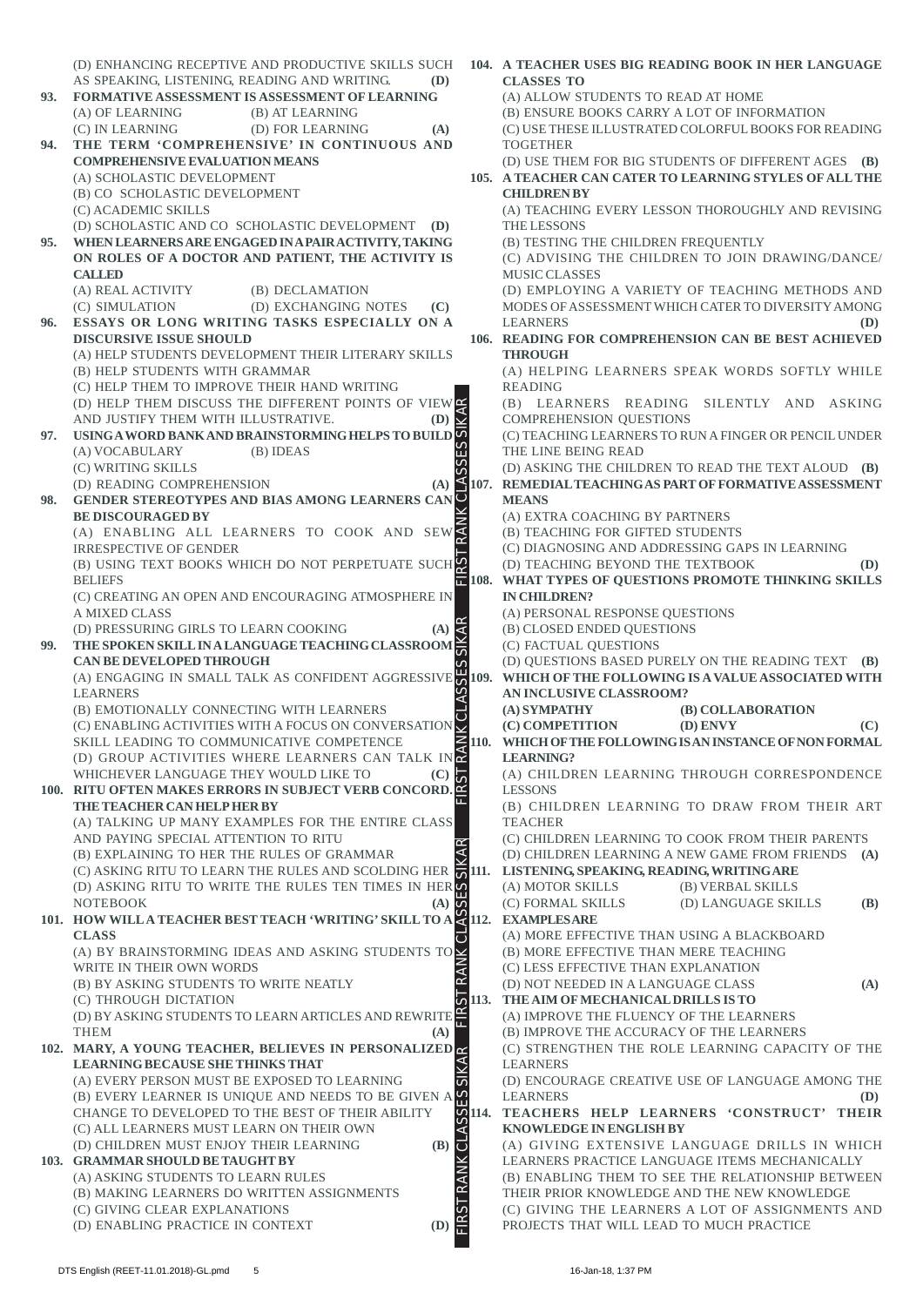(D) ENHANCING RECEPTIVE AND PRODUCTIVE SKILLS SUCH **104. A TEACHER USES BIG READING BOOK IN HER LANGUAGE** AS SPEAKING, LISTENING, READING AND WRITING. **(D) CLASSES TO 93. FORMATIVE ASSESSMENT IS ASSESSMENT OF LEARNING** (A) ALLOW STUDENTS TO READ AT HOME (A) OF LEARNING (B) AT LEARNING (B) ENSURE BOOKS CARRY A LOT OF INFORMATION (C) IN LEARNING (D) FOR LEARNING **(A)** (C) USE THESE ILLUSTRATED COLORFUL BOOKS FOR READING **94. THE TERM 'COMPREHENSIVE' IN CONTINUOUS AND** TOGETHER **COMPREHENSIVE EVALUATION MEANS** (D) USE THEM FOR BIG STUDENTS OF DIFFERENT AGES **(B)** (A) SCHOLASTIC DEVELOPMENT **105. A TEACHER CAN CATER TO LEARNING STYLES OF ALL THE** (B) CO SCHOLASTIC DEVELOPMENT **CHILDREN BY** (C) ACADEMIC SKILLS (A) TEACHING EVERY LESSON THOROUGHLY AND REVISING (D) SCHOLASTIC AND CO SCHOLASTIC DEVELOPMENT **(D)** THE LESSONS **95. WHEN LEARNERS ARE ENGAGED IN A PAIR ACTIVITY, TAKING** (B) TESTING THE CHILDREN FREQUENTLY **ON ROLES OF A DOCTOR AND PATIENT, THE ACTIVITY IS** (C) ADVISING THE CHILDREN TO JOIN DRAWING/DANCE/ **CALLED** MUSIC CLASSES (A) REAL ACTIVITY (B) DECLAMATION (D) EMPLOYING A VARIETY OF TEACHING METHODS AND (C) SIMULATION (D) EXCHANGING NOTES **(C)** MODES OF ASSESSMENT WHICH CATER TO DIVERSITY AMONG **96. ESSAYS OR LONG WRITING TASKS ESPECIALLY ON A** LEARNERS **(D) DISCURSIVE ISSUE SHOULD 106. READING FOR COMPREHENSION CAN BE BEST ACHIEVED** (A) HELP STUDENTS DEVELOPMENT THEIR LITERARY SKILLS **THROUGH** (B) HELP STUDENTS WITH GRAMMAR (A) HELPING LEARNERS SPEAK WORDS SOFTLY WHILE (C) HELP THEM TO IMPROVE THEIR HAND WRITING READING (D) HELP THEM DISCUSS THE DIFFERENT POINTS OF VIEW (B) LEARNERS READING SILENTLY AND ASKING FIRST RANK CLASSES SIKAR FIRST RANK CLASSES SIKAR FIRST RANK CLASSES SIKAR FIRST RANK CLASSES SIKAR COMPREHENSION QUESTIONS AND JUSTIFY THEM WITH ILLUSTRATIVE. **(D)** (C) TEACHING LEARNERS TO RUN A FINGER OR PENCIL UNDER **97. USING A WORD BANK AND BRAINSTORMING HELPS TO BUILD** (A) VOCABULARY (B) IDEAS THE LINE BEING READ (D) ASKING THE CHILDREN TO READ THE TEXT ALOUD **(B)** (C) WRITING SKILLS (D) READING COMPREHENSION **(A) 107. REMEDIAL TEACHING AS PART OF FORMATIVE ASSESSMENT 98. GENDER STEREOTYPES AND BIAS AMONG LEARNERS CAN MEANS BE DISCOURAGED BY** (A) EXTRA COACHING BY PARTNERS (A) ENABLING ALL LEARNERS TO COOK AND SEW (B) TEACHING FOR GIFTED STUDENTS IRRESPECTIVE OF GENDER (C) DIAGNOSING AND ADDRESSING GAPS IN LEARNING (B) USING TEXT BOOKS WHICH DO NOT PERPETUATE SUCH (D) TEACHING BEYOND THE TEXTBOOK **(D)** BELIEFS **108. WHAT TYPES OF QUESTIONS PROMOTE THINKING SKILLS** (C) CREATING AN OPEN AND ENCOURAGING ATMOSPHERE IN **IN CHILDREN?** A MIXED CLASS (A) PERSONAL RESPONSE QUESTIONS (D) PRESSURING GIRLS TO LEARN COOKING **(A)** (B) CLOSED ENDED QUESTIONS (C) FACTUAL QUESTIONS **99. THE SPOKEN SKILL IN A LANGUAGE TEACHING CLASSROOM CAN BE DEVELOPED THROUGH** (D) QUESTIONS BASED PURELY ON THE READING TEXT **(B)** (A) ENGAGING IN SMALL TALK AS CONFIDENT AGGRESSIVE **109. WHICH OF THE FOLLOWING IS A VALUE ASSOCIATED WITH AN INCLUSIVE CLASSROOM? LEARNERS** (B) EMOTIONALLY CONNECTING WITH LEARNERS **(A) SYMPATHY (B) COLLABORATION**  $\overline{\phantom{a}}$ (C) ENABLING ACTIVITIES WITH A FOCUS ON CONVERSATION **(C) COMPETITION (D) ENVY (C) 110. WHICH OF THE FOLLOWING IS AN INSTANCE OF NON FORMAL** SKILL LEADING TO COMMUNICATIVE COMPETENCE **LEARNING?** (D) GROUP ACTIVITIES WHERE LEARNERS CAN TALK IN WHICHEVER LANGUAGE THEY WOULD LIKE TO **(C)** (A) CHILDREN LEARNING THROUGH CORRESPONDENCE **100. RITU OFTEN MAKES ERRORS IN SUBJECT VERB CONCORD.** LESSONS **THE TEACHER CAN HELP HER BY** (B) CHILDREN LEARNING TO DRAW FROM THEIR ART (A) TALKING UP MANY EXAMPLES FOR THE ENTIRE CLASS **TEACHER** AND PAYING SPECIAL ATTENTION TO RITU (C) CHILDREN LEARNING TO COOK FROM THEIR PARENTS (B) EXPLAINING TO HER THE RULES OF GRAMMAR (D) CHILDREN LEARNING A NEW GAME FROM FRIENDS **(A)** (C) ASKING RITU TO LEARN THE RULES AND SCOLDING HER **111. LISTENING, SPEAKING, READING, WRITING ARE** (D) ASKING RITU TO WRITE THE RULES TEN TIMES IN HER (A) MOTOR SKILLS (B) VERBAL SKILLS (C) FORMAL SKILLS (D) LANGUAGE SKILLS **(B)** NOTEBOOK **(A) 112. EXAMPLES ARE 101. HOW WILL A TEACHER BEST TEACH 'WRITING' SKILL TO A CLASS** (A) MORE EFFECTIVE THAN USING A BLACKBOARD (A) BY BRAINSTORMING IDEAS AND ASKING STUDENTS TO (B) MORE EFFECTIVE THAN MERE TEACHING WRITE IN THEIR OWN WORDS (C) LESS EFFECTIVE THAN EXPLANATION (B) BY ASKING STUDENTS TO WRITE NEATLY (D) NOT NEEDED IN A LANGUAGE CLASS **(A) 113. THE AIM OF MECHANICAL DRILLS IS TO** (C) THROUGH DICTATION (A) IMPROVE THE FLUENCY OF THE LEARNERS (D) BY ASKING STUDENTS TO LEARN ARTICLES AND REWRITE (B) IMPROVE THE ACCURACY OF THE LEARNERS THEM **(A) 102. MARY, A YOUNG TEACHER, BELIEVES IN PERSONALIZED** (C) STRENGTHEN THE ROLE LEARNING CAPACITY OF THE **LEARNING BECAUSE SHE THINKS THAT** LEARNERS (A) EVERY PERSON MUST BE EXPOSED TO LEARNING (D) ENCOURAGE CREATIVE USE OF LANGUAGE AMONG THE (B) EVERY LEARNER IS UNIQUE AND NEEDS TO BE GIVEN A  $\%$ LEARNERS **(D)** CHANGE TO DEVELOPED TO THE BEST OF THEIR ABILITY SSI **114. TEACHERS HELP LEARNERS 'CONSTRUCT' THEIR** (C) ALL LEARNERS MUST LEARN ON THEIR OWN **KNOWLEDGE IN ENGLISH BY** (D) CHILDREN MUST ENJOY THEIR LEARNING **(B)** (A) GIVING EXTENSIVE LANGUAGE DRILLS IN WHICH ದ **RANK 103. GRAMMAR SHOULD BE TAUGHT BY** LEARNERS PRACTICE LANGUAGE ITEMS MECHANICALLY (A) ASKING STUDENTS TO LEARN RULES (B) ENABLING THEM TO SEE THE RELATIONSHIP BETWEEN (B) MAKING LEARNERS DO WRITTEN ASSIGNMENTS THEIR PRIOR KNOWLEDGE AND THE NEW KNOWLEDGE (C) GIVING CLEAR EXPLANATIONS (C) GIVING THE LEARNERS A LOT OF ASSIGNMENTS AND (D) ENABLING PRACTICE IN CONTEXT **(D)** PROJECTS THAT WILL LEAD TO MUCH PRACTICE